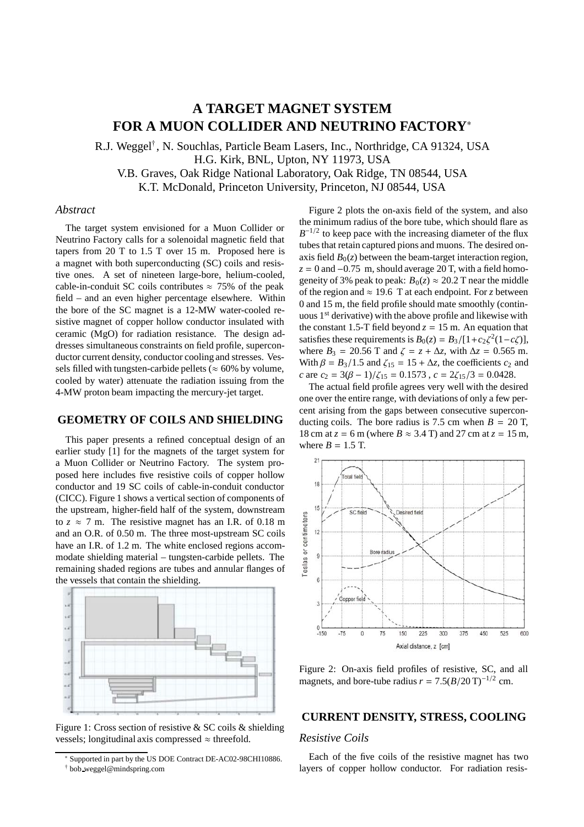# **A TARGET MAGNET SYSTEM FOR A MUON COLLIDER AND NEUTRINO FACTORY**<sup>∗</sup>

R.J. Weggel† , N. Souchlas, Particle Beam Lasers, Inc., Northridge, CA 91324, USA H.G. Kirk, BNL, Upton, NY 11973, USA V.B. Graves, Oak Ridge National Laboratory, Oak Ridge, TN 08544, USA K.T. McDonald, Princeton University, Princeton, NJ 08544, USA

# *Abstract*

The target system envisioned for a Muon Collider or Neutrino Factory calls for a solenoidal magnetic field that tapers from 20 T to 1.5 T over 15 m. Proposed here is a magnet with both superconducting (SC) coils and resistive ones. A set of nineteen large-bore, helium-cooled, cable-in-conduit SC coils contributes  $\approx$  75% of the peak field – and an even higher percentage elsewhere. Within the bore of the SC magnet is a 12-MW water-cooled resistive magnet of copper hollow conductor insulated with ceramic (MgO) for radiation resistance. The design addresses simultaneous constraints on field profile, superconductor current density, conductor cooling and stresses. Vessels filled with tungsten-carbide pellets ( $\approx 60\%$  by volume, cooled by water) attenuate the radiation issuing from the 4-MW proton beam impacting the mercury-jet target.

## **GEOMETRY OF COILS AND SHIELDING**

This paper presents a refined conceptual design of an earlier study [1] for the magnets of the target system for a Muon Collider or Neutrino Factory. The system proposed here includes five resistive coils of copper hollow conductor and 19 SC coils of cable-in-conduit conductor (CICC). Figure 1 shows a vertical section of components of the upstream, higher-field half of the system, downstream to  $z \approx 7$  m. The resistive magnet has an I.R. of 0.18 m and an O.R. of 0.50 m. The three most-upstream SC coils have an I.R. of 1.2 m. The white enclosed regions accommodate shielding material – tungsten-carbide pellets. The remaining shaded regions are tubes and annular flanges of the vessels that contain the shielding.



Figure 1: Cross section of resistive & SC coils & shielding vessels; longitudinal axis compressed  $\approx$  threefold.

Figure 2 plots the on-axis field of the system, and also the minimum radius of the bore tube, which should flare as  $B^{-1/2}$  to keep pace with the increasing diameter of the flux tubes that retain captured pions and muons. The desired onaxis field  $B_0(z)$  between the beam-target interaction region,  $z = 0$  and  $-0.75$  m, should average 20 T, with a field homogeneity of 3% peak to peak:  $B_0(z) \approx 20.2$  T near the middle of the region and  $\approx$  19.6 T at each endpoint. For *z* between 0 and 15 m, the field profile should mate smoothly (continuous 1<sup>st</sup> derivative) with the above profile and likewise with the constant 1.5-T field beyond  $z = 15$  m. An equation that satisfies these requirements is  $B_0(z) = B_3/[1+c_2\zeta^2(1-c\zeta)]$ , where  $B_3 = 20.56$  T and  $\zeta = z + \Delta z$ , with  $\Delta z = 0.565$  m. With  $\beta = B_3/1.5$  and  $\zeta_{15} = 15 + \Delta z$ , the coefficients  $c_2$  and *c* are  $c_2 = 3(\beta - 1)/\zeta_{15} = 0.1573$ ,  $c = 2\zeta_{15}/3 = 0.0428$ .

The actual field profile agrees very well with the desired one over the entire range, with deviations of only a few percent arising from the gaps between consecutive superconducting coils. The bore radius is 7.5 cm when  $B = 20$  T, 18 cm at  $z = 6$  m (where  $B \approx 3.4$  T) and 27 cm at  $z = 15$  m, where  $B = 1.5$  T.



Figure 2: On-axis field profiles of resistive, SC, and all magnets, and bore-tube radius  $r = 7.5(B/20 \text{ T})^{-1/2}$  cm.

# **CURRENT DENSITY, STRESS, COOLING**

# *Resistive Coils*

Each of the five coils of the resistive magnet has two layers of copper hollow conductor. For radiation resis-

<sup>∗</sup> Supported in part by the US DOE Contract DE-AC02-98CHI10886. † bob weggel@mindspring.com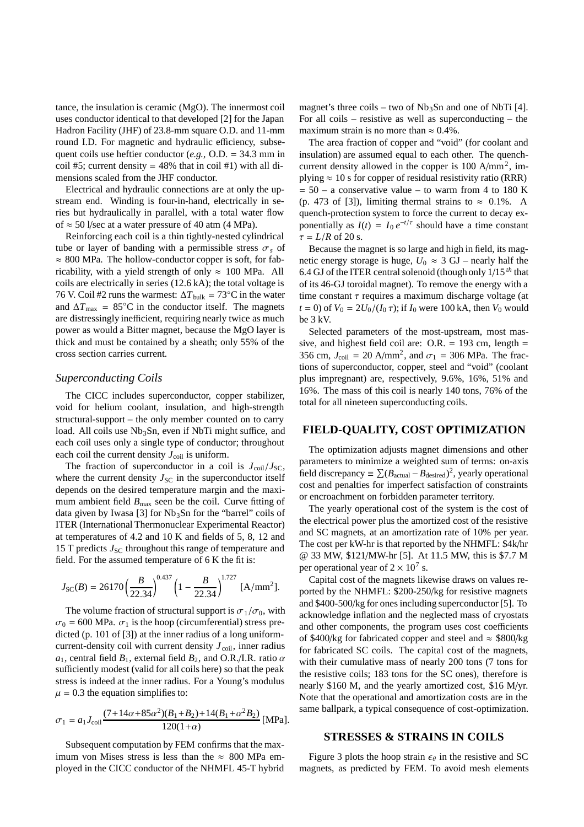tance, the insulation is ceramic (MgO). The innermost coil uses conductor identical to that developed [2] for the Japan Hadron Facility (JHF) of 23.8-mm square O.D. and 11-mm round I.D. For magnetic and hydraulic efficiency, subsequent coils use heftier conductor (*e.g.*, O.D. = 34.3 mm in coil #5; current density =  $48\%$  that in coil #1) with all dimensions scaled from the JHF conductor.

Electrical and hydraulic connections are at only the upstream end. Winding is four-in-hand, electrically in series but hydraulically in parallel, with a total water flow of  $\approx$  50 l/sec at a water pressure of 40 atm (4 MPa).

Reinforcing each coil is a thin tightly-nested cylindrical tube or layer of banding with a permissible stress  $\sigma_s$  of  $\approx 800$  MPa. The hollow-conductor copper is soft, for fabricability, with a yield strength of only  $\approx 100$  MPa. All coils are electrically in series (12.6 kA); the total voltage is 76 V. Coil #2 runs the warmest:  $\Delta T_{\text{bulk}} = 73^{\circ}$ C in the water and  $\Delta T_{\text{max}} = 85^{\circ}\text{C}$  in the conductor itself. The magnets are distressingly inefficient, requiring nearly twice as much power as would a Bitter magnet, because the MgO layer is thick and must be contained by a sheath; only 55% of the cross section carries current.

#### *Superconducting Coils*

The CICC includes superconductor, copper stabilizer, void for helium coolant, insulation, and high-strength structural-support – the only member counted on to carry load. All coils use Nb<sub>3</sub>Sn, even if NbTi might suffice, and each coil uses only a single type of conductor; throughout each coil the current density  $J_{\text{coil}}$  is uniform.

The fraction of superconductor in a coil is  $J_{\text{coil}}/J_{\text{SC}}$ , where the current density  $J_{\rm SC}$  in the superconductor itself depends on the desired temperature margin and the maximum ambient field  $B_{\text{max}}$  seen be the coil. Curve fitting of data given by Iwasa [3] for  $Nb<sub>3</sub>Sn$  for the "barrel" coils of ITER (International Thermonuclear Experimental Reactor) at temperatures of 4.2 and 10 K and fields of 5, 8, 12 and 15 T predicts  $J_{\rm SC}$  throughout this range of temperature and field. For the assumed temperature of 6 K the fit is:

$$
J_{\rm SC}(B) = 26170 \left(\frac{B}{22.34}\right)^{0.437} \left(1 - \frac{B}{22.34}\right)^{1.727} \, \text{[A/mm}^2\text{]}.
$$

The volume fraction of structural support is  $\sigma_1/\sigma_0$ , with  $\sigma_0$  = 600 MPa.  $\sigma_1$  is the hoop (circumferential) stress predicted (p. 101 of [3]) at the inner radius of a long uniformcurrent-density coil with current density  $J_{\text{coil}}$ , inner radius *a*<sub>1</sub>, central field  $B_1$ , external field  $B_2$ , and O.R./I.R. ratio  $\alpha$ sufficiently modest (valid for all coils here) so that the peak stress is indeed at the inner radius. For a Young's modulus  $\mu = 0.3$  the equation simplifies to:

$$
\sigma_1 = a_1 J_{\text{coil}} \frac{(7 + 14\alpha + 85\alpha^2)(B_1 + B_2) + 14(B_1 + \alpha^2 B_2)}{120(1 + \alpha)} \text{[MPa]}.
$$

Subsequent computation by FEM confirms that the maximum von Mises stress is less than the  $\approx 800$  MPa employed in the CICC conductor of the NHMFL 45-T hybrid

magnet's three coils – two of  $Nb<sub>3</sub>Sn$  and one of NbTi [4]. For all coils – resistive as well as superconducting – the maximum strain is no more than  $\approx 0.4\%$ .

The area fraction of copper and "void" (for coolant and insulation) are assumed equal to each other. The quenchcurrent density allowed in the copper is  $100 \text{ A/mm}^2$ , implying  $\approx 10$  s for copper of residual resistivity ratio (RRR)  $= 50 - a$  conservative value – to warm from 4 to 180 K (p. 473 of [3]), limiting thermal strains to  $\approx 0.1\%$ . A quench-protection system to force the current to decay exponentially as  $I(t) = I_0 e^{-t/\tau}$  should have a time constant  $\tau = L/R$  of 20 s.

Because the magnet is so large and high in field, its magnetic energy storage is huge,  $U_0 \approx 3$  GJ – nearly half the 6.4 GJ of the ITER central solenoid (though only 1/15 *th* that of its 46-GJ toroidal magnet). To remove the energy with a time constant  $\tau$  requires a maximum discharge voltage (at *t* = 0) of  $V_0 = 2U_0/(I_0 \tau)$ ; if  $I_0$  were 100 kA, then  $V_0$  would be 3 kV.

Selected parameters of the most-upstream, most massive, and highest field coil are:  $O.R. = 193$  cm, length = 356 cm,  $J_{\text{coil}} = 20 \text{ A/mm}^2$ , and  $\sigma_1 = 306 \text{ MPa}$ . The fractions of superconductor, copper, steel and "void" (coolant plus impregnant) are, respectively, 9.6%, 16%, 51% and 16%. The mass of this coil is nearly 140 tons, 76% of the total for all nineteen superconducting coils.

### **FIELD-QUALITY, COST OPTIMIZATION**

The optimization adjusts magnet dimensions and other parameters to minimize a weighted sum of terms: on-axis field discrepancy  $\equiv \sum (B_{\text{actual}} - B_{\text{desired}})^2$ , yearly operational cost and penalties for imperfect satisfaction of constraints or encroachment on forbidden parameter territory.

The yearly operational cost of the system is the cost of the electrical power plus the amortized cost of the resistive and SC magnets, at an amortization rate of 10% per year. The cost per kW-hr is that reported by the NHMFL: \$4k/hr @ 33 MW, \$121/MW-hr [5]. At 11.5 MW, this is \$7.7 M per operational year of  $2 \times 10^7$  s.

Capital cost of the magnets likewise draws on values reported by the NHMFL: \$200-250/kg for resistive magnets and \$400-500/kg for ones including superconductor [5]. To acknowledge inflation and the neglected mass of cryostats and other components, the program uses cost coefficients of \$400/kg for fabricated copper and steel and  $\approx$  \$800/kg for fabricated SC coils. The capital cost of the magnets, with their cumulative mass of nearly 200 tons (7 tons for the resistive coils; 183 tons for the SC ones), therefore is nearly \$160 M, and the yearly amortized cost, \$16 M/yr. Note that the operational and amortization costs are in the same ballpark, a typical consequence of cost-optimization.

## **STRESSES & STRAINS IN COILS**

Figure 3 plots the hoop strain  $\epsilon_{\theta}$  in the resistive and SC magnets, as predicted by FEM. To avoid mesh elements